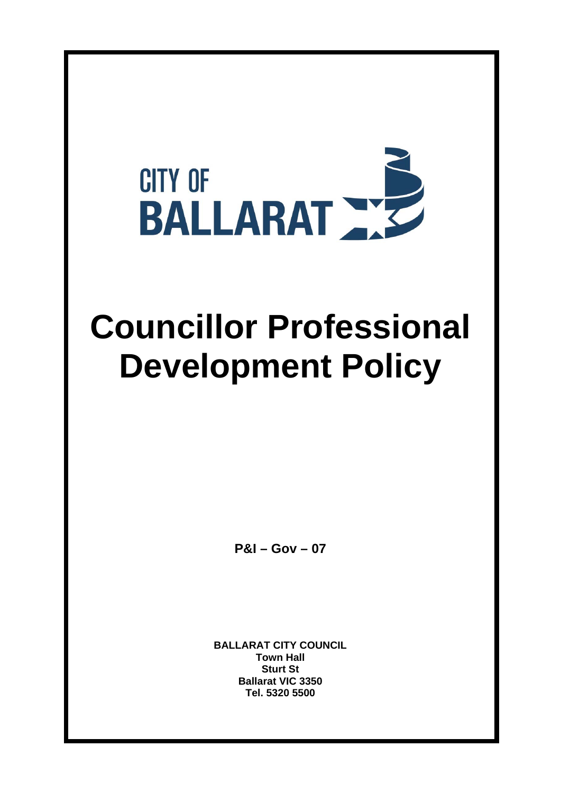

# **Councillor Professional Development Policy**

**P&I – Gov – 07**

**BALLARAT CITY COUNCIL Town Hall Sturt St Ballarat VIC 3350 Tel. 5320 5500**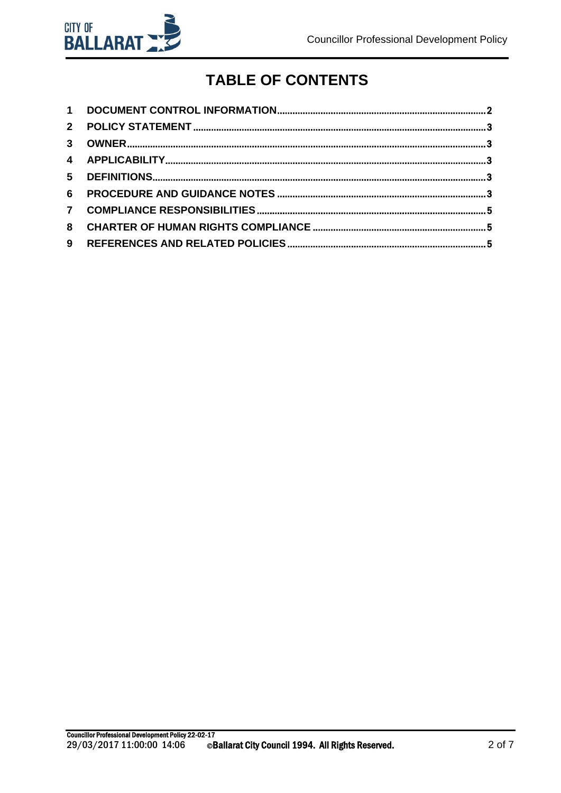

## **TABLE OF CONTENTS**

| $2^{\circ}$ |  |
|-------------|--|
|             |  |
|             |  |
|             |  |
| 6           |  |
|             |  |
| 8           |  |
| 9           |  |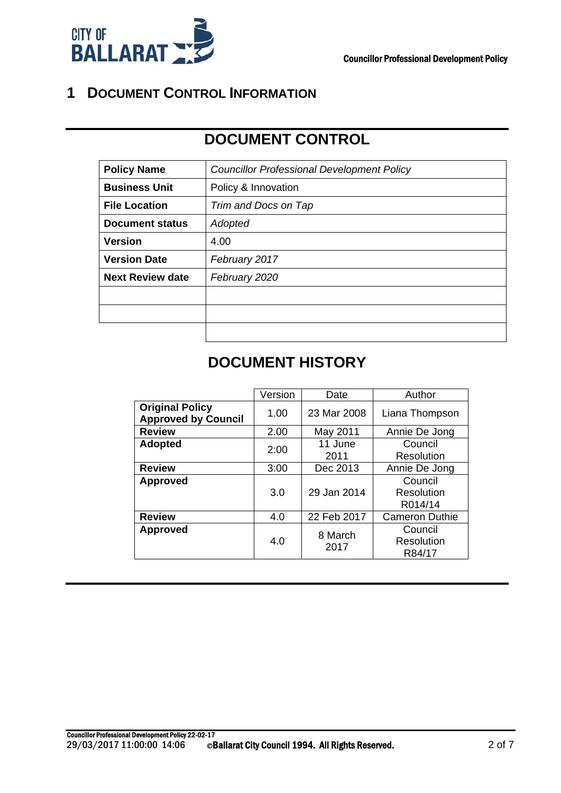

#### **1 DOCUMENT CONTROL INFORMATION**

## **DOCUMENT CONTROL**

| <b>Policy Name</b>      | <b>Councillor Professional Development Policy</b> |  |  |  |
|-------------------------|---------------------------------------------------|--|--|--|
| <b>Business Unit</b>    | Policy & Innovation                               |  |  |  |
| <b>File Location</b>    | Trim and Docs on Tap                              |  |  |  |
| <b>Document status</b>  | Adopted                                           |  |  |  |
| <b>Version</b>          | 4.00                                              |  |  |  |
| <b>Version Date</b>     | February 2017                                     |  |  |  |
| <b>Next Review date</b> | February 2020                                     |  |  |  |
|                         |                                                   |  |  |  |
|                         |                                                   |  |  |  |
|                         |                                                   |  |  |  |

## **DOCUMENT HISTORY**

|                                                      | Version | Date            | Author                           |
|------------------------------------------------------|---------|-----------------|----------------------------------|
| <b>Original Policy</b><br><b>Approved by Council</b> | 1.00    | 23 Mar 2008     | Liana Thompson                   |
| <b>Review</b>                                        | 2.00    | May 2011        | Annie De Jong                    |
| <b>Adopted</b>                                       | 2:00    | 11 June<br>2011 | Council<br>Resolution            |
| <b>Review</b>                                        | 3:00    | Dec 2013        | Annie De Jong                    |
| <b>Approved</b>                                      | 3.0     | 29 Jan 2014     | Council<br>Resolution<br>R014/14 |
| <b>Review</b>                                        | 4.0     | 22 Feb 2017     | <b>Cameron Duthie</b>            |
| <b>Approved</b>                                      | 4.0     | 8 March<br>2017 | Council<br>Resolution<br>R84/17  |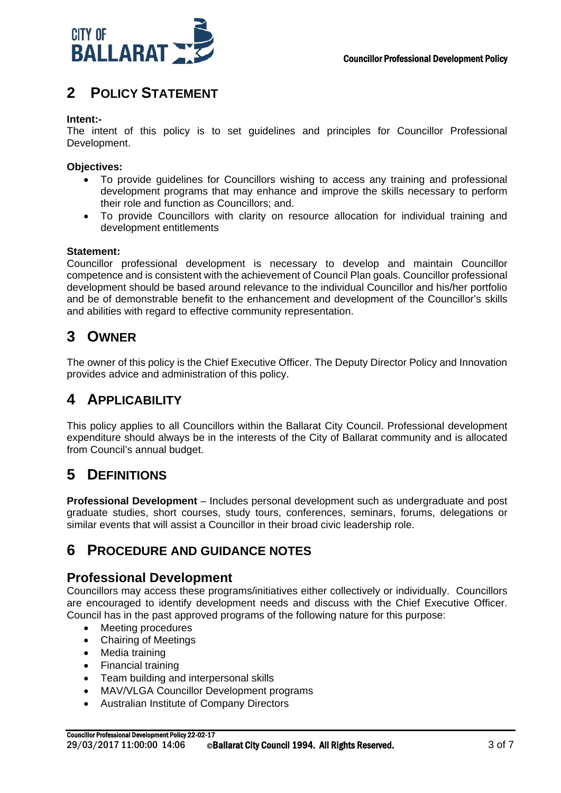

#### **2 POLICY STATEMENT**

#### **Intent:-**

The intent of this policy is to set guidelines and principles for Councillor Professional Development.

#### **Objectives:**

- To provide guidelines for Councillors wishing to access any training and professional development programs that may enhance and improve the skills necessary to perform their role and function as Councillors; and.
- To provide Councillors with clarity on resource allocation for individual training and development entitlements

#### **Statement:**

Councillor professional development is necessary to develop and maintain Councillor competence and is consistent with the achievement of Council Plan goals. Councillor professional development should be based around relevance to the individual Councillor and his/her portfolio and be of demonstrable benefit to the enhancement and development of the Councillor's skills and abilities with regard to effective community representation.

#### **3 OWNER**

The owner of this policy is the Chief Executive Officer. The Deputy Director Policy and Innovation provides advice and administration of this policy.

#### **4 APPLICABILITY**

This policy applies to all Councillors within the Ballarat City Council. Professional development expenditure should always be in the interests of the City of Ballarat community and is allocated from Council's annual budget.

#### **5 DEFINITIONS**

**Professional Development** – Includes personal development such as undergraduate and post graduate studies, short courses, study tours, conferences, seminars, forums, delegations or similar events that will assist a Councillor in their broad civic leadership role.

#### **6 PROCEDURE AND GUIDANCE NOTES**

#### **Professional Development**

Councillors may access these programs/initiatives either collectively or individually. Councillors are encouraged to identify development needs and discuss with the Chief Executive Officer. Council has in the past approved programs of the following nature for this purpose:

- Meeting procedures
- Chairing of Meetings
- Media training
- Financial training
- Team building and interpersonal skills
- MAV/VLGA Councillor Development programs
- Australian Institute of Company Directors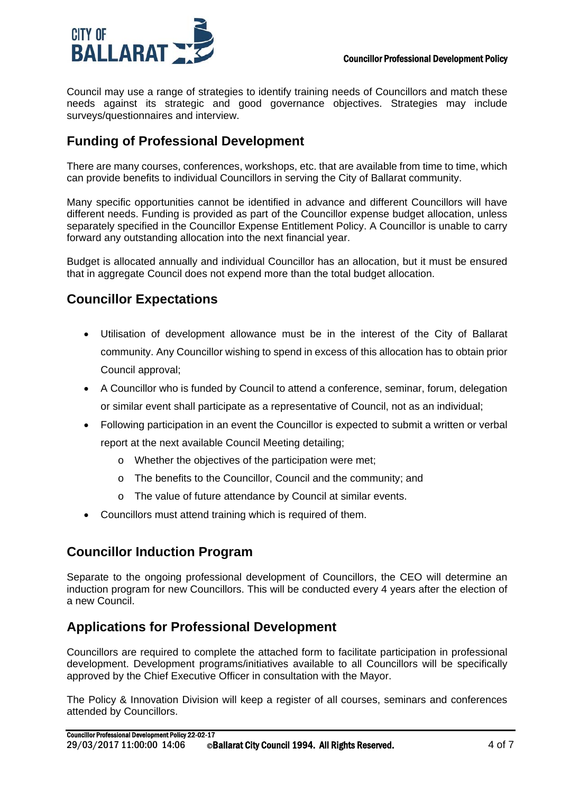

Council may use a range of strategies to identify training needs of Councillors and match these needs against its strategic and good governance objectives. Strategies may include surveys/questionnaires and interview.

#### **Funding of Professional Development**

There are many courses, conferences, workshops, etc. that are available from time to time, which can provide benefits to individual Councillors in serving the City of Ballarat community.

Many specific opportunities cannot be identified in advance and different Councillors will have different needs. Funding is provided as part of the Councillor expense budget allocation, unless separately specified in the Councillor Expense Entitlement Policy. A Councillor is unable to carry forward any outstanding allocation into the next financial year.

Budget is allocated annually and individual Councillor has an allocation, but it must be ensured that in aggregate Council does not expend more than the total budget allocation.

#### **Councillor Expectations**

- Utilisation of development allowance must be in the interest of the City of Ballarat community. Any Councillor wishing to spend in excess of this allocation has to obtain prior Council approval;
- A Councillor who is funded by Council to attend a conference, seminar, forum, delegation or similar event shall participate as a representative of Council, not as an individual;
- Following participation in an event the Councillor is expected to submit a written or verbal report at the next available Council Meeting detailing;
	- o Whether the objectives of the participation were met;
	- o The benefits to the Councillor, Council and the community; and
	- o The value of future attendance by Council at similar events.
- Councillors must attend training which is required of them.

#### **Councillor Induction Program**

Separate to the ongoing professional development of Councillors, the CEO will determine an induction program for new Councillors. This will be conducted every 4 years after the election of a new Council.

#### **Applications for Professional Development**

Councillors are required to complete the attached form to facilitate participation in professional development. Development programs/initiatives available to all Councillors will be specifically approved by the Chief Executive Officer in consultation with the Mayor.

The Policy & Innovation Division will keep a register of all courses, seminars and conferences attended by Councillors.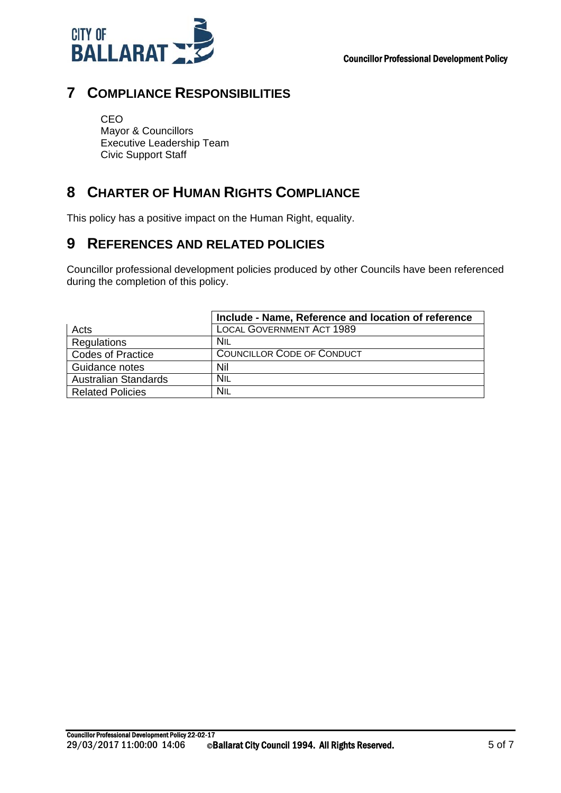

#### **7 COMPLIANCE RESPONSIBILITIES**

CEO Mayor & Councillors Executive Leadership Team Civic Support Staff

### **8 CHARTER OF HUMAN RIGHTS COMPLIANCE**

This policy has a positive impact on the Human Right, equality.

#### **9 REFERENCES AND RELATED POLICIES**

Councillor professional development policies produced by other Councils have been referenced during the completion of this policy.

|                             | Include - Name, Reference and location of reference |
|-----------------------------|-----------------------------------------------------|
| Acts                        | <b>LOCAL GOVERNMENT ACT 1989</b>                    |
| Regulations                 | NIL                                                 |
| <b>Codes of Practice</b>    | <b>COUNCILLOR CODE OF CONDUCT</b>                   |
| Guidance notes              | Nil                                                 |
| <b>Australian Standards</b> | Nil                                                 |
| <b>Related Policies</b>     | Nil                                                 |